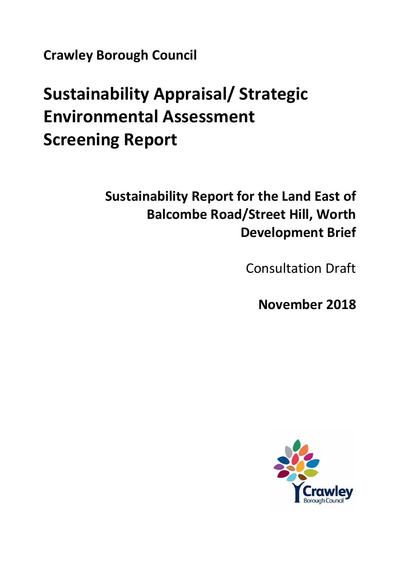**Crawley Borough Council**

# **Sustainability Appraisal/ Strategic Environmental Assessment Screening Report**

**Sustainability Report for the Land East of Balcombe Road/Street Hill, Worth Development Brief**

Consultation Draft

**November 2018**

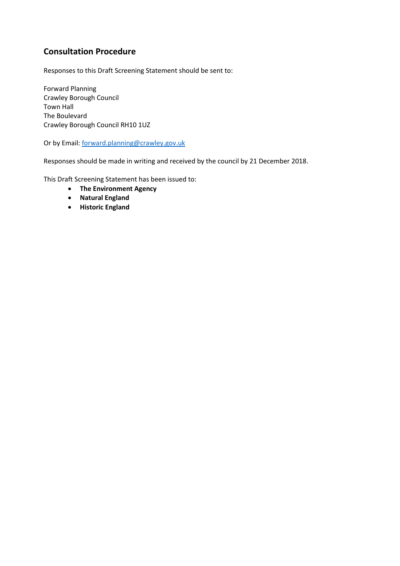# **Consultation Procedure**

Responses to this Draft Screening Statement should be sent to:

Forward Planning Crawley Borough Council Town Hall The Boulevard Crawley Borough Council RH10 1UZ

Or by Email: [forward.planning@crawley.gov.uk](mailto:forward.planning@crawley.gov.uk)

Responses should be made in writing and received by the council by 21 December 2018.

This Draft Screening Statement has been issued to:

- **The Environment Agency**
- **Natural England**
- **•** Historic England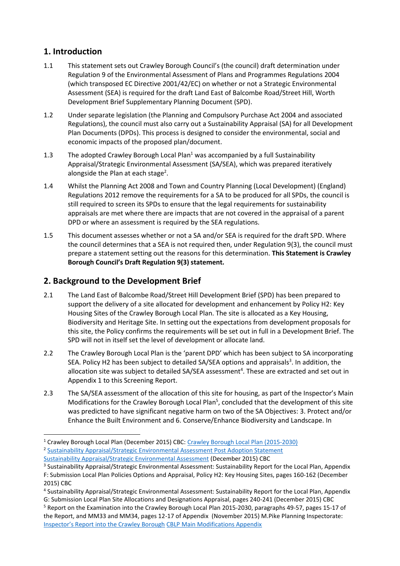# **1. Introduction**

- 1.1 This statement sets out Crawley Borough Council's (the council) draft determination under Regulation 9 of the Environmental Assessment of Plans and Programmes Regulations 2004 (which transposed EC Directive 2001/42/EC) on whether or not a Strategic Environmental Assessment (SEA) is required for the draft Land East of Balcombe Road/Street Hill, Worth Development Brief Supplementary Planning Document (SPD).
- 1.2 Under separate legislation (the Planning and Compulsory Purchase Act 2004 and associated Regulations), the council must also carry out a Sustainability Appraisal (SA) for all Development Plan Documents (DPDs). This process is designed to consider the environmental, social and economic impacts of the proposed plan/document.
- 1.3 The adopted Crawley Borough Local Plan<sup>1</sup> was accompanied by a full Sustainability Appraisal/Strategic Environmental Assessment (SA/SEA), which was prepared iteratively alongside the Plan at each stage<sup>2</sup>.
- 1.4 Whilst the Planning Act 2008 and Town and Country Planning (Local Development) (England) Regulations 2012 remove the requirements for a SA to be produced for all SPDs, the council is still required to screen its SPDs to ensure that the legal requirements for sustainability appraisals are met where there are impacts that are not covered in the appraisal of a parent DPD or where an assessment is required by the SEA regulations.
- 1.5 This document assesses whether or not a SA and/or SEA is required for the draft SPD. Where the council determines that a SEA is not required then, under Regulation 9(3), the council must prepare a statement setting out the reasons for this determination. **This Statement is Crawley Borough Council's Draft Regulation 9(3) statement.**

## **2. Background to the Development Brief**

- 2.1 The Land East of Balcombe Road/Street Hill Development Brief (SPD) has been prepared to support the delivery of a site allocated for development and enhancement by Policy H2: Key Housing Sites of the Crawley Borough Local Plan. The site is allocated as a Key Housing, Biodiversity and Heritage Site. In setting out the expectations from development proposals for this site, the Policy confirms the requirements will be set out in full in a Development Brief. The SPD will not in itself set the level of development or allocate land.
- 2.2 The Crawley Borough Local Plan is the 'parent DPD' which has been subject to SA incorporating SEA. Policy H2 has been subject to detailed SA/SEA options and appraisals<sup>3</sup>. In addition, the allocation site was subject to detailed SA/SEA assessment<sup>4</sup>. These are extracted and set out in Appendix 1 to this Screening Report.
- 2.3 The SA/SEA assessment of the allocation of this site for housing, as part of the Inspector's Main Modifications for the Crawley Borough Local Plan<sup>5</sup>, concluded that the development of this site was predicted to have significant negative harm on two of the SA Objectives: 3. Protect and/or Enhance the Built Environment and 6. Conserve/Enhance Biodiversity and Landscape. In

<sup>1</sup> Crawley Borough Local Plan (December 2015) CBC: [Crawley Borough Local Plan \(2015-2030\)](http://www.crawley.gov.uk/pw/node/5004) <sup>2</sup> [Sustainability Appraisal/Strategic Environmental Assessment Post Adoption Statement](http://www.crawley.gov.uk/pw/web/PUB274287) [Sustainability Appraisal/Strategic Environmental Assessment](http://www.crawley.gov.uk/pw/web/PUB271703) (December 2015) CBC

<sup>&</sup>lt;sup>3</sup> Sustainability Appraisal/Strategic Environmental Assessment: Sustainability Report for the Local Plan, Appendix F: Submission Local Plan Policies Options and Appraisal, Policy H2: Key Housing Sites, pages 160-162 (December

<sup>2015)</sup> CBC

<sup>4</sup> Sustainability Appraisal/Strategic Environmental Assessment: Sustainability Report for the Local Plan, Appendix G: Submission Local Plan Site Allocations and Designations Appraisal, pages 240-241 (December 2015) CBC

<sup>&</sup>lt;sup>5</sup> Report on the Examination into the Crawley Borough Local Plan 2015-2030, paragraphs 49-57, pages 15-17 of the Report, and MM33 and MM34, pages 12-17 of Appendix (November 2015) M.Pike Planning Inspectorate: [Inspector's Report into the Crawley Borough](http://www.crawley.gov.uk/pw/web/pub270981) [CBLP Main Modifications Appendix](http://www.crawley.gov.uk/pw/web/pub270982)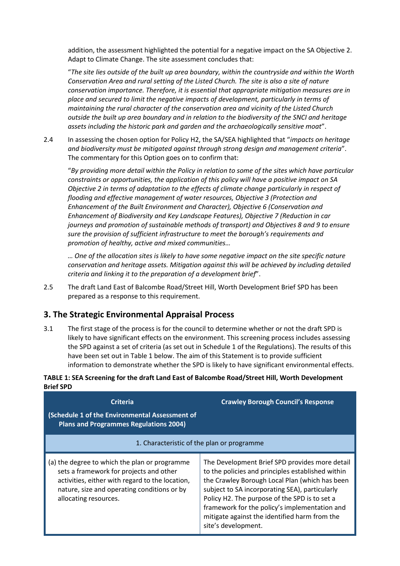addition, the assessment highlighted the potential for a negative impact on the SA Objective 2. Adapt to Climate Change. The site assessment concludes that:

"*The site lies outside of the built up area boundary, within the countryside and within the Worth Conservation Area and rural setting of the Listed Church. The site is also a site of nature conservation importance. Therefore, it is essential that appropriate mitigation measures are in place and secured to limit the negative impacts of development, particularly in terms of maintaining the rural character of the conservation area and vicinity of the Listed Church outside the built up area boundary and in relation to the biodiversity of the SNCI and heritage assets including the historic park and garden and the archaeologically sensitive moat*".

2.4 In assessing the chosen option for Policy H2, the SA/SEA highlighted that "*impacts on heritage and biodiversity must be mitigated against through strong design and management criteria*". The commentary for this Option goes on to confirm that:

"*By providing more detail within the Policy in relation to some of the sites which have particular constraints or opportunities, the application of this policy will have a positive impact on SA Objective 2 in terms of adaptation to the effects of climate change particularly in respect of flooding and effective management of water resources, Objective 3 (Protection and Enhancement of the Built Environment and Character), Objective 6 (Conservation and Enhancement of Biodiversity and Key Landscape Features), Objective 7 (Reduction in car journeys and promotion of sustainable methods of transport) and Objectives 8 and 9 to ensure sure the provision of sufficient infrastructure to meet the borough's requirements and promotion of healthy, active and mixed communities…*

*… One of the allocation sites is likely to have some negative impact on the site specific nature conservation and heritage assets. Mitigation against this will be achieved by including detailed criteria and linking it to the preparation of a development brief*".

2.5 The draft Land East of Balcombe Road/Street Hill, Worth Development Brief SPD has been prepared as a response to this requirement.

## **3. The Strategic Environmental Appraisal Process**

3.1 The first stage of the process is for the council to determine whether or not the draft SPD is likely to have significant effects on the environment. This screening process includes assessing the SPD against a set of criteria (as set out in Schedule 1 of the Regulations). The results of this have been set out in Table 1 below. The aim of this Statement is to provide sufficient information to demonstrate whether the SPD is likely to have significant environmental effects.

#### **TABLE 1: SEA Screening for the draft Land East of Balcombe Road/Street Hill, Worth Development Brief SPD**

| <b>Criteria</b><br>(Schedule 1 of the Environmental Assessment of<br><b>Plans and Programmes Regulations 2004)</b>                                                                                                  | <b>Crawley Borough Council's Response</b>                                                                                                                                                                                                                                                                                                                                         |
|---------------------------------------------------------------------------------------------------------------------------------------------------------------------------------------------------------------------|-----------------------------------------------------------------------------------------------------------------------------------------------------------------------------------------------------------------------------------------------------------------------------------------------------------------------------------------------------------------------------------|
|                                                                                                                                                                                                                     | 1. Characteristic of the plan or programme                                                                                                                                                                                                                                                                                                                                        |
| (a) the degree to which the plan or programme<br>sets a framework for projects and other<br>activities, either with regard to the location,<br>nature, size and operating conditions or by<br>allocating resources. | The Development Brief SPD provides more detail<br>to the policies and principles established within<br>the Crawley Borough Local Plan (which has been<br>subject to SA incorporating SEA), particularly<br>Policy H2. The purpose of the SPD is to set a<br>framework for the policy's implementation and<br>mitigate against the identified harm from the<br>site's development. |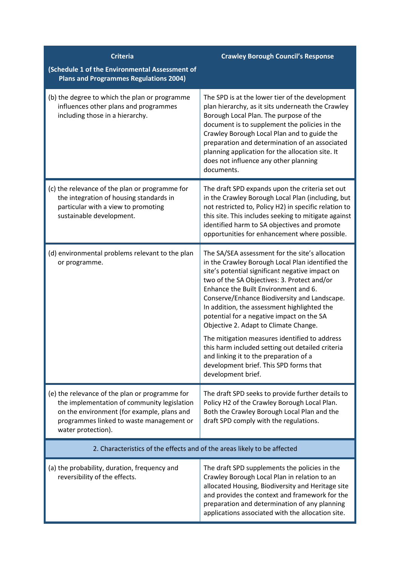| <b>Criteria</b>                                                                                                                                                                                               | <b>Crawley Borough Council's Response</b>                                                                                                                                                                                                                                                                                                                                                                                                                                                                                                                                                                                                         |
|---------------------------------------------------------------------------------------------------------------------------------------------------------------------------------------------------------------|---------------------------------------------------------------------------------------------------------------------------------------------------------------------------------------------------------------------------------------------------------------------------------------------------------------------------------------------------------------------------------------------------------------------------------------------------------------------------------------------------------------------------------------------------------------------------------------------------------------------------------------------------|
| (Schedule 1 of the Environmental Assessment of<br><b>Plans and Programmes Regulations 2004)</b>                                                                                                               |                                                                                                                                                                                                                                                                                                                                                                                                                                                                                                                                                                                                                                                   |
| (b) the degree to which the plan or programme<br>influences other plans and programmes<br>including those in a hierarchy.                                                                                     | The SPD is at the lower tier of the development<br>plan hierarchy, as it sits underneath the Crawley<br>Borough Local Plan. The purpose of the<br>document is to supplement the policies in the<br>Crawley Borough Local Plan and to guide the<br>preparation and determination of an associated<br>planning application for the allocation site. It<br>does not influence any other planning<br>documents.                                                                                                                                                                                                                                       |
| (c) the relevance of the plan or programme for<br>the integration of housing standards in<br>particular with a view to promoting<br>sustainable development.                                                  | The draft SPD expands upon the criteria set out<br>in the Crawley Borough Local Plan (including, but<br>not restricted to, Policy H2) in specific relation to<br>this site. This includes seeking to mitigate against<br>identified harm to SA objectives and promote<br>opportunities for enhancement where possible.                                                                                                                                                                                                                                                                                                                            |
| (d) environmental problems relevant to the plan<br>or programme.                                                                                                                                              | The SA/SEA assessment for the site's allocation<br>in the Crawley Borough Local Plan identified the<br>site's potential significant negative impact on<br>two of the SA Objectives: 3. Protect and/or<br>Enhance the Built Environment and 6.<br>Conserve/Enhance Biodiversity and Landscape.<br>In addition, the assessment highlighted the<br>potential for a negative impact on the SA<br>Objective 2. Adapt to Climate Change.<br>The mitigation measures identified to address<br>this harm included setting out detailed criteria<br>and linking it to the preparation of a<br>development brief. This SPD forms that<br>development brief. |
| (e) the relevance of the plan or programme for<br>the implementation of community legislation<br>on the environment (for example, plans and<br>programmes linked to waste management or<br>water protection). | The draft SPD seeks to provide further details to<br>Policy H2 of the Crawley Borough Local Plan.<br>Both the Crawley Borough Local Plan and the<br>draft SPD comply with the regulations.                                                                                                                                                                                                                                                                                                                                                                                                                                                        |
| 2. Characteristics of the effects and of the areas likely to be affected                                                                                                                                      |                                                                                                                                                                                                                                                                                                                                                                                                                                                                                                                                                                                                                                                   |
| (a) the probability, duration, frequency and<br>reversibility of the effects.                                                                                                                                 | The draft SPD supplements the policies in the<br>Crawley Borough Local Plan in relation to an<br>allocated Housing, Biodiversity and Heritage site<br>and provides the context and framework for the<br>preparation and determination of any planning<br>applications associated with the allocation site.                                                                                                                                                                                                                                                                                                                                        |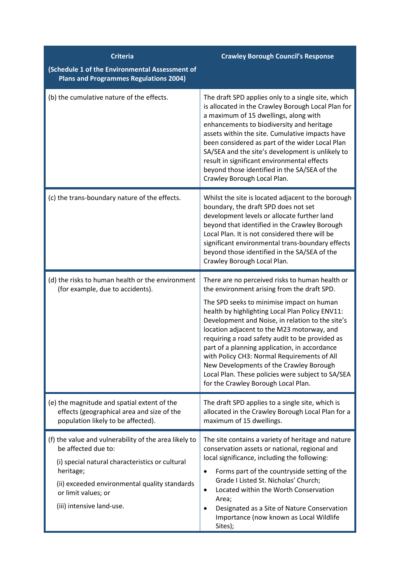| <b>Criteria</b>                                                                                                                                                                                                                                   | <b>Crawley Borough Council's Response</b>                                                                                                                                                                                                                                                                                                                                                                                                                                                                                                                                                  |
|---------------------------------------------------------------------------------------------------------------------------------------------------------------------------------------------------------------------------------------------------|--------------------------------------------------------------------------------------------------------------------------------------------------------------------------------------------------------------------------------------------------------------------------------------------------------------------------------------------------------------------------------------------------------------------------------------------------------------------------------------------------------------------------------------------------------------------------------------------|
| (Schedule 1 of the Environmental Assessment of<br><b>Plans and Programmes Regulations 2004)</b>                                                                                                                                                   |                                                                                                                                                                                                                                                                                                                                                                                                                                                                                                                                                                                            |
| (b) the cumulative nature of the effects.                                                                                                                                                                                                         | The draft SPD applies only to a single site, which<br>is allocated in the Crawley Borough Local Plan for<br>a maximum of 15 dwellings, along with<br>enhancements to biodiversity and heritage<br>assets within the site. Cumulative impacts have<br>been considered as part of the wider Local Plan<br>SA/SEA and the site's development is unlikely to<br>result in significant environmental effects<br>beyond those identified in the SA/SEA of the<br>Crawley Borough Local Plan.                                                                                                     |
| (c) the trans-boundary nature of the effects.                                                                                                                                                                                                     | Whilst the site is located adjacent to the borough<br>boundary, the draft SPD does not set<br>development levels or allocate further land<br>beyond that identified in the Crawley Borough<br>Local Plan. It is not considered there will be<br>significant environmental trans-boundary effects<br>beyond those identified in the SA/SEA of the<br>Crawley Borough Local Plan.                                                                                                                                                                                                            |
| (d) the risks to human health or the environment<br>(for example, due to accidents).                                                                                                                                                              | There are no perceived risks to human health or<br>the environment arising from the draft SPD.<br>The SPD seeks to minimise impact on human<br>health by highlighting Local Plan Policy ENV11:<br>Development and Noise, in relation to the site's<br>location adjacent to the M23 motorway, and<br>requiring a road safety audit to be provided as<br>part of a planning application, in accordance<br>with Policy CH3: Normal Requirements of All<br>New Developments of the Crawley Borough<br>Local Plan. These policies were subject to SA/SEA<br>for the Crawley Borough Local Plan. |
| (e) the magnitude and spatial extent of the<br>effects (geographical area and size of the<br>population likely to be affected).                                                                                                                   | The draft SPD applies to a single site, which is<br>allocated in the Crawley Borough Local Plan for a<br>maximum of 15 dwellings.                                                                                                                                                                                                                                                                                                                                                                                                                                                          |
| (f) the value and vulnerability of the area likely to<br>be affected due to:<br>(i) special natural characteristics or cultural<br>heritage;<br>(ii) exceeded environmental quality standards<br>or limit values; or<br>(iii) intensive land-use. | The site contains a variety of heritage and nature<br>conservation assets or national, regional and<br>local significance, including the following:<br>Forms part of the countryside setting of the<br>Grade I Listed St. Nicholas' Church;<br>Located within the Worth Conservation<br>٠<br>Area;<br>Designated as a Site of Nature Conservation<br>Importance (now known as Local Wildlife<br>Sites);                                                                                                                                                                                    |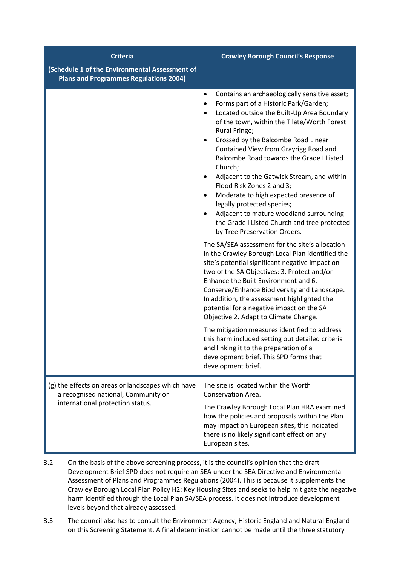| <b>Criteria</b><br>(Schedule 1 of the Environmental Assessment of<br><b>Plans and Programmes Regulations 2004)</b>           | <b>Crawley Borough Council's Response</b>                                                                                                                                                                                                                                                                                                                                                                                                                                                                                                                                                                                                                                                                                                                                                                                                                                                                                                                                                                                                                                                                                                                                                                                                                                                                                                             |
|------------------------------------------------------------------------------------------------------------------------------|-------------------------------------------------------------------------------------------------------------------------------------------------------------------------------------------------------------------------------------------------------------------------------------------------------------------------------------------------------------------------------------------------------------------------------------------------------------------------------------------------------------------------------------------------------------------------------------------------------------------------------------------------------------------------------------------------------------------------------------------------------------------------------------------------------------------------------------------------------------------------------------------------------------------------------------------------------------------------------------------------------------------------------------------------------------------------------------------------------------------------------------------------------------------------------------------------------------------------------------------------------------------------------------------------------------------------------------------------------|
|                                                                                                                              | Contains an archaeologically sensitive asset;<br>$\bullet$<br>Forms part of a Historic Park/Garden;<br>$\bullet$<br>Located outside the Built-Up Area Boundary<br>$\bullet$<br>of the town, within the Tilate/Worth Forest<br>Rural Fringe;<br>Crossed by the Balcombe Road Linear<br>$\bullet$<br>Contained View from Grayrigg Road and<br><b>Balcombe Road towards the Grade I Listed</b><br>Church;<br>Adjacent to the Gatwick Stream, and within<br>Flood Risk Zones 2 and 3;<br>Moderate to high expected presence of<br>legally protected species;<br>Adjacent to mature woodland surrounding<br>$\bullet$<br>the Grade I Listed Church and tree protected<br>by Tree Preservation Orders.<br>The SA/SEA assessment for the site's allocation<br>in the Crawley Borough Local Plan identified the<br>site's potential significant negative impact on<br>two of the SA Objectives: 3. Protect and/or<br>Enhance the Built Environment and 6.<br>Conserve/Enhance Biodiversity and Landscape.<br>In addition, the assessment highlighted the<br>potential for a negative impact on the SA<br>Objective 2. Adapt to Climate Change.<br>The mitigation measures identified to address<br>this harm included setting out detailed criteria<br>and linking it to the preparation of a<br>development brief. This SPD forms that<br>development brief. |
| (g) the effects on areas or landscapes which have<br>a recognised national, Community or<br>international protection status. | The site is located within the Worth<br>Conservation Area.<br>The Crawley Borough Local Plan HRA examined<br>how the policies and proposals within the Plan<br>may impact on European sites, this indicated<br>there is no likely significant effect on any<br>European sites.                                                                                                                                                                                                                                                                                                                                                                                                                                                                                                                                                                                                                                                                                                                                                                                                                                                                                                                                                                                                                                                                        |

- 3.2 On the basis of the above screening process, it is the council's opinion that the draft Development Brief SPD does not require an SEA under the SEA Directive and Environmental Assessment of Plans and Programmes Regulations (2004). This is because it supplements the Crawley Borough Local Plan Policy H2: Key Housing Sites and seeks to help mitigate the negative harm identified through the Local Plan SA/SEA process. It does not introduce development levels beyond that already assessed.
- 3.3 The council also has to consult the Environment Agency, Historic England and Natural England on this Screening Statement. A final determination cannot be made until the three statutory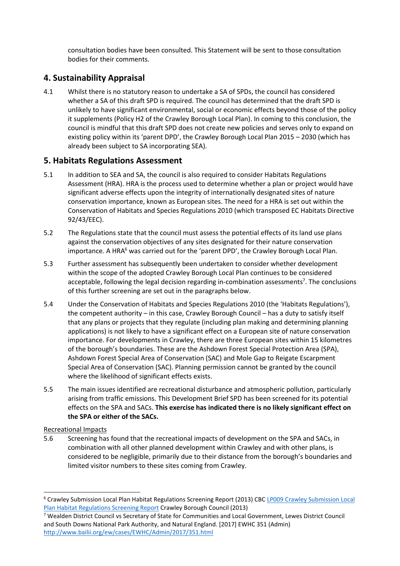consultation bodies have been consulted. This Statement will be sent to those consultation bodies for their comments.

# **4. Sustainability Appraisal**

4.1 Whilst there is no statutory reason to undertake a SA of SPDs, the council has considered whether a SA of this draft SPD is required. The council has determined that the draft SPD is unlikely to have significant environmental, social or economic effects beyond those of the policy it supplements (Policy H2 of the Crawley Borough Local Plan). In coming to this conclusion, the council is mindful that this draft SPD does not create new policies and serves only to expand on existing policy within its 'parent DPD', the Crawley Borough Local Plan 2015 – 2030 (which has already been subject to SA incorporating SEA).

## **5. Habitats Regulations Assessment**

- 5.1 In addition to SEA and SA, the council is also required to consider Habitats Regulations Assessment (HRA). HRA is the process used to determine whether a plan or project would have significant adverse effects upon the integrity of internationally designated sites of nature conservation importance, known as European sites. The need for a HRA is set out within the Conservation of Habitats and Species Regulations 2010 (which transposed EC Habitats Directive 92/43/EEC).
- 5.2 The Regulations state that the council must assess the potential effects of its land use plans against the conservation objectives of any sites designated for their nature conservation importance. A HRA<sup>6</sup> was carried out for the 'parent DPD', the Crawley Borough Local Plan.
- 5.3 Further assessment has subsequently been undertaken to consider whether development within the scope of the adopted Crawley Borough Local Plan continues to be considered acceptable, following the legal decision regarding in-combination assessments<sup>7</sup>. The conclusions of this further screening are set out in the paragraphs below.
- 5.4 Under the Conservation of Habitats and Species Regulations 2010 (the 'Habitats Regulations'), the competent authority – in this case, Crawley Borough Council – has a duty to satisfy itself that any plans or projects that they regulate (including plan making and determining planning applications) is not likely to have a significant effect on a European site of nature conservation importance. For developments in Crawley, there are three European sites within 15 kilometres of the borough's boundaries. These are the Ashdown Forest Special Protection Area (SPA), Ashdown Forest Special Area of Conservation (SAC) and Mole Gap to Reigate Escarpment Special Area of Conservation (SAC). Planning permission cannot be granted by the council where the likelihood of significant effects exists.
- 5.5 The main issues identified are recreational disturbance and atmospheric pollution, particularly arising from traffic emissions. This Development Brief SPD has been screened for its potential effects on the SPA and SACs. **This exercise has indicated there is no likely significant effect on the SPA or either of the SACs.**

Recreational Impacts

 $\overline{a}$ 

5.6 Screening has found that the recreational impacts of development on the SPA and SACs, in combination with all other planned development within Crawley and with other plans, is considered to be negligible, primarily due to their distance from the borough's boundaries and limited visitor numbers to these sites coming from Crawley.

<sup>6</sup> Crawley Submission Local Plan Habitat Regulations Screening Report (2013) CB[C LP009 Crawley Submission Local](http://www.crawley.gov.uk/pw/web/pub206695)  [Plan Habitat Regulations Screening Report](http://www.crawley.gov.uk/pw/web/pub206695) Crawley Borough Council (2013)

<sup>7</sup> Wealden District Council vs Secretary of State for Communities and Local Government, Lewes District Council and South Downs National Park Authority, and Natural England. [2017] EWHC 351 (Admin) <http://www.bailii.org/ew/cases/EWHC/Admin/2017/351.html>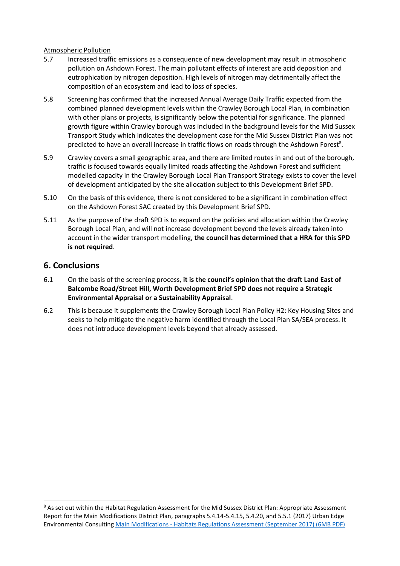#### Atmospheric Pollution

- 5.7 Increased traffic emissions as a consequence of new development may result in atmospheric pollution on Ashdown Forest. The main pollutant effects of interest are acid deposition and eutrophication by nitrogen deposition. High levels of nitrogen may detrimentally affect the composition of an ecosystem and lead to loss of species.
- 5.8 Screening has confirmed that the increased Annual Average Daily Traffic expected from the combined planned development levels within the Crawley Borough Local Plan, in combination with other plans or projects, is significantly below the potential for significance. The planned growth figure within Crawley borough was included in the background levels for the Mid Sussex Transport Study which indicates the development case for the Mid Sussex District Plan was not predicted to have an overall increase in traffic flows on roads through the Ashdown Forest<sup>8</sup>.
- 5.9 Crawley covers a small geographic area, and there are limited routes in and out of the borough, traffic is focused towards equally limited roads affecting the Ashdown Forest and sufficient modelled capacity in the Crawley Borough Local Plan Transport Strategy exists to cover the level of development anticipated by the site allocation subject to this Development Brief SPD.
- 5.10 On the basis of this evidence, there is not considered to be a significant in combination effect on the Ashdown Forest SAC created by this Development Brief SPD.
- 5.11 As the purpose of the draft SPD is to expand on the policies and allocation within the Crawley Borough Local Plan, and will not increase development beyond the levels already taken into account in the wider transport modelling, **the council has determined that a HRA for this SPD is not required**.

## **6. Conclusions**

- 6.1 On the basis of the screening process, **it is the council's opinion that the draft Land East of Balcombe Road/Street Hill, Worth Development Brief SPD does not require a Strategic Environmental Appraisal or a Sustainability Appraisal**.
- 6.2 This is because it supplements the Crawley Borough Local Plan Policy H2: Key Housing Sites and seeks to help mitigate the negative harm identified through the Local Plan SA/SEA process. It does not introduce development levels beyond that already assessed.

<sup>&</sup>lt;sup>8</sup> As set out within the Habitat Regulation Assessment for the Mid Sussex District Plan: Appropriate Assessment Report for the Main Modifications District Plan, paragraphs 5.4.14-5.4.15, 5.4.20, and 5.5.1 (2017) Urban Edge Environmental Consulting Main Modifications - [Habitats Regulations Assessment \(September 2017\) \(6MB PDF\)](https://www.midsussex.gov.uk/media/2225/district-plan-main-modification-habitats-regulations-assessment.pdf)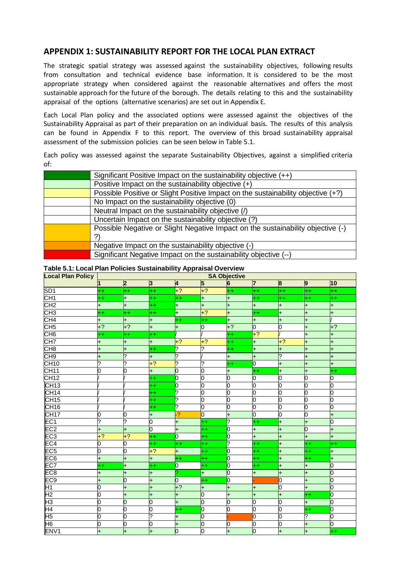## **APPENDIX 1: SUSTAINABILITY REPORT FOR THE LOCAL PLAN EXTRACT**

The strategic spatial strategy was assessed against the sustainability objectives, following results from consultation and technical evidence base information. It is considered to be the most appropriate strategy when considered against the reasonable alternatives and offers the most sustainable approach for the future of the borough. The details relating to this and the sustainability appraisal of the options (alternative scenarios) are set out in Appendix E.

Each Local Plan policy and the associated options were assessed against the objectives of the Sustainability Appraisal as part of their preparation on an individual basis. The results of this analysis can be found in Appendix F to this report. The overview of this broad sustainability appraisal assessment of the submission policies can be seen below in Table 5.1.

Each policy was assessed against the separate Sustainability Objectives, against a simplified criteria of:

| Significant Positive Impact on the sustainability objective (++)                 |
|----------------------------------------------------------------------------------|
| Positive Impact on the sustainability objective (+)                              |
| Possible Positive or Slight Positive Impact on the sustainability objective (+?) |
| No Impact on the sustainability objective (0)                                    |
| Neutral Impact on the sustainability objective (/)                               |
| Uncertain Impact on the sustainability objective (?)                             |
| Possible Negative or Slight Negative Impact on the sustainability objective (-)  |
| ?)                                                                               |
| Negative Impact on the sustainability objective (-)                              |
| Significant Negative Impact on the sustainability objective (--)                 |
|                                                                                  |

#### **Table 5.1: Local Plan Policies Sustainability Appraisal Overview**

| <b>Local Plan Policy</b> | <b>SA Objective</b>      |                |                    |                |                    |           |                |                |                |              |
|--------------------------|--------------------------|----------------|--------------------|----------------|--------------------|-----------|----------------|----------------|----------------|--------------|
|                          |                          | $\overline{2}$ | 3                  | 4              | 5                  | 6         | 7              | $\overline{8}$ | 9              | 10           |
| SD <sub>1</sub>          | $^{++}$                  | $^{++}$        | $^{++}$            | $+2$           | $+2$               | $^{++}$   | $^{++}$        | $^{++}$        | $^{++}$        | 4+           |
| CH1                      | $^{++}$                  | $\ddot{}$      | $^{++}$            | $^{++}$        | $\ddot{}$          | $^{+}$    | $^{++}$        | $^{++}$        | $^{++}$        | 4+           |
| CH <sub>2</sub>          | $\ddot{}$                | Ŧ,             | $^{++}$            | ÷              | $\ddot{}$          | Ŧ,        | $\ddot{}$      | $\ddot{}$      | Ŧ              | Ŧ            |
| CH <sub>3</sub>          | $^{++}$                  | $^{++}$        | $^{++}$            | $\ddot{}$      | $+2$               | Ŧ.        | $^{++}$        | $\ddot{}$      | +              | Ŧ            |
| CH4                      | $\ddot{}$                | $^{+}$         | $+$                | $^{++}$        | $^{++}$            | I+        | $\ddot{}$      | $\ddot{}$      | 1+             |              |
| CH <sub>5</sub>          | $+?$                     | $+2$           | $+$                | $\ddot{}$      | 0                  | $+?$      | $\overline{0}$ | ō              | $\pm$          | $+?$         |
| CH <sub>6</sub>          | $^{++}$                  | $^{++}$        | $^{++}$            |                |                    | $^{++}$   | $+2$           |                | $\pm$          | Ŧ.           |
| CH <sub>7</sub>          | $\ddot{}$                | $^{+}$         | $\ddot{}$          | $+?$           | $+?$               | $^{++}$   | $\ddot{}$      | $+?$           | l+             | 4            |
| CH <sub>8</sub>          | Ŧ.                       | $\ddot{}$      | $^{++}$            | ?              | ?                  | $^{++}$   | $\ddot{}$      | $\ddot{}$      | $\ddot{}$      | Ŧ.           |
| CH <sub>9</sub>          | Ŧ.                       | .ر.            | $\ddot{}$          | ?              |                    | Ŧ.        | $\ddot{}$      | ?              | $\ddot{}$      | <sup>+</sup> |
| <b>CH10</b>              | ?                        | .ر.            | $+2$               | ?              | $\overline{\cdot}$ | $^{++}$   | 0              | $\ddot{}$      | $\ddot{}$      | ÷            |
| <b>CH11</b>              | 0                        | 0              | $\ddot{}$          | 0              | 0                  | $\ddot{}$ | $^{++}$        | $\ddot{}$      | $\ddot{}$      | ++           |
| CH12                     |                          |                | $^{++}$            | 0              | 0                  | 0         | $\overline{0}$ | 0              | 0              | 0            |
| CH13                     |                          |                | $^{++}$            | 0              | 0                  | 0         | o              | 0              | 0              | n            |
| CH14                     |                          |                | $^{++}$            | ?              | $\overline{0}$     | 0         | $\overline{0}$ | Ō              | Ю              | O            |
| CH15                     |                          |                | $^{++}$            | ?              | 0                  | 0         | $\overline{0}$ | $\overline{0}$ | 0              | 0            |
| <b>CH16</b>              |                          |                | $^{++}$            | ?              | 0                  | 0         | $\overline{0}$ | $\overline{0}$ | 0              | 0            |
| <b>CH17</b>              | 0                        | 0              | $+$                | $\overline{2}$ | 0                  | $\pm$     | $\overline{0}$ | 0              | 0              | 4            |
| EC <sub>1</sub>          | $\overline{\phantom{a}}$ | ?              | 0                  | ÷,             | $^{++}$            | ?         | $^{++}$        | Ŧ,             | 4              | 0            |
| EC <sub>2</sub>          | Ŧ.                       | Ŧ,             | 0                  | Ŧ.             | $^{++}$            | 0         | <sup>+</sup>   | $\ddot{}$      | $\overline{0}$ | $\ddot{}$    |
| EC3                      | $+2$                     | $+2$           | $^{++}$            | 0              | $^{++}$            | 0         | $\ddot{}$      | $\ddot{}$      | $\pm$          | Ŧ            |
| EC4                      | ō                        | 0              | $^{++}$            | $^{++}$        | $^{++}$            | ر.        | $^{++}$        | Ŧ,             | $^{++}$        | 4+           |
| EC5                      | Ō                        | 0              | $+2$               | +              | $^{++}$            | 0         | $^{++}$        | $\ddot{}$      | $^{++}$        | $\ddot{}$    |
| EC <sub>6</sub>          | Ŧ.                       | $\ddot{}$      | $\ddot{}$          | $^{++}$        | $^{++}$            | 0         | $^{++}$        | $\ddot{}$      | $^{++}$        | Ŧ            |
| EC7                      | $^{++}$                  | $\ddot{}$      | $^{++}$            | 0              | $^{++}$            | 0         | $^{++}$        | $\ddot{}$      | Ŧ              | 0            |
| EC <sub>8</sub>          | Ŧ,                       | Ŧ.             | $\ddot{}$          |                | $\ddot{}$          | O         | Ŧ,             | $\ddot{}$      | H,             | 0            |
| EC9                      | $\ddot{}$                | $\overline{0}$ | $\ddot{}$          | lo             | $^{++}$            | 0         |                | 0              | $\pm$          | b            |
| $\overline{H1}$          | O                        | $\mathsf{+}$   | $\ddot{}$          | $+2$           | $\ddot{}$          | Ŧ.        | $\ddot{}$      | $\overline{0}$ | Ŧ              | b            |
| H2                       | $\overline{0}$           | Ŧ.             | $\ddot{}$          | $\ddot{}$      | 0                  | Ŧ         | $\ddot{}$      | $\ddot{}$      | $^{++}$        | 0            |
| H <sub>3</sub>           | $\overline{0}$           | 0              | 0                  | Ŧ,             | 0                  | 0         | $\overline{0}$ | 0              | +              | Ю            |
| H4                       | $\overline{0}$           | O              | 0                  | $^{++}$        | 0                  | 0         | $\overline{0}$ | $\overline{0}$ | $^{++}$        | 0            |
| H <sub>5</sub>           | 0                        | 0              | $\overline{\cdot}$ | Ŧ,             | 0                  |           | $\overline{0}$ | 0              | l?             | 0            |
| H <sub>6</sub>           | O                        | 0              | 0                  | $\ddot{}$      | 0                  | 0         | $\overline{0}$ | 0              | $\ddot{}$      | b            |
| ENV <sub>1</sub>         | $\overline{+}$           | $+$            | Ŧ,                 | $\overline{0}$ | 0                  | $+$       | $\overline{0}$ | $+$            | 4              | $^{++}$      |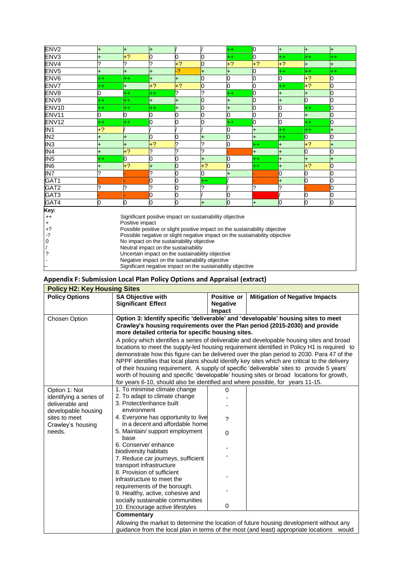| EN <sub>V2</sub>  | +                                                                           | +                                                       | $\pm$           |           |              | ++               | 0               | $\ddot{}$ | +       | $\ddot{}$ |
|-------------------|-----------------------------------------------------------------------------|---------------------------------------------------------|-----------------|-----------|--------------|------------------|-----------------|-----------|---------|-----------|
| ENV3              |                                                                             | $+2$                                                    | 0               | ი         | ი            | $^{++}$          | ი               | $^{++}$   | $^{++}$ | $^{++}$   |
| ENV4              |                                                                             |                                                         | ?               | $+?$      | 0            | $+?$             | $+?$            | $+?$      | +       | $\pm$     |
| ENV <sub>5</sub>  |                                                                             | $\ddot{}$                                               | $\ddot{}$       | 2         | <sup>+</sup> | $\ddot{}$        | 0               | $^{++}$   | $^{++}$ | $^{++}$   |
| ENV <sub>6</sub>  | $^{++}$                                                                     | $^{++}$                                                 | Ŧ.              | $\ddot{}$ |              | 0                | O               | 0         | $+2$    |           |
| ENV7              | $^{++}$                                                                     | $\ddot{}$                                               | $+?$            | $+?$      | ი            | 0                | 0               | $^{++}$   | $+?$    |           |
| ENV8              | 0                                                                           | $^{\mathrm{+}}$                                         | $^{\mathrm{+}}$ | ?         | っ            | $^{\mathrm{++}}$ | 0               | $\pmb{+}$ | +       |           |
| ENV <sub>9</sub>  | $^{\rm ++}$                                                                 | $^{++}$                                                 | $\ddot{}$       | +         | 0            | +                | 0               | $\pm$     | 0       |           |
| ENV <sub>10</sub> | ++                                                                          | $^{++}$                                                 | $^{\mathrm{+}}$ |           | 0            | $\ddot{}$        | 0               | 0         | $^{++}$ |           |
| ENV <sub>11</sub> | ი                                                                           | 0                                                       | Ю               |           |              | O                | O               | 0         | +       |           |
| ENV <sub>12</sub> | $^{++}$                                                                     | $^{++}$                                                 | 0               |           |              | $^{\mathrm{+}}$  |                 | 0         | $^{++}$ |           |
| IN <sub>1</sub>   | $+2$                                                                        |                                                         |                 |           |              | 0                | $\ddot{}$       | $^{++}$   | $^{++}$ |           |
| IN <sub>2</sub>   |                                                                             |                                                         | 0               |           | $\ddot{}$    | 0                | $\ddot{}$       | $^{++}$   | 0       |           |
| $\overline{1}M3$  |                                                                             | Ł                                                       | $+2$            |           | っ            | 0                | $^{++}$         | Ŧ,        | $+?$    |           |
| IN4               | $\ddot{}$                                                                   | $+?$                                                    | ?               | 2         | 2            |                  | $\pmb{+}$       | $\pmb{+}$ | N       |           |
| IN5               | $^{\mathrm{+}}$                                                             | 0                                                       | 0               |           | $\ddot{}$    | 0                | $^{\mathrm{+}}$ | $\ddot{}$ | +       |           |
| IN6               | $\ddot{}$                                                                   | $+2$                                                    | $\ddot{}$       | n         | $+2$         | 0                | $^{++}$         | $\ddot{}$ | $+2$    |           |
| IN7               |                                                                             |                                                         | ?               |           | 0            |                  |                 | O         |         |           |
| GAT1              |                                                                             |                                                         | 0               |           | $+ +$        |                  |                 | $\ddot{}$ |         |           |
| GAT <sub>2</sub>  |                                                                             |                                                         | ?               |           | 2            |                  | ?               | ?         |         |           |
| GAT3              |                                                                             |                                                         | 0               |           |              |                  |                 |           |         |           |
| GAT4              | O                                                                           | ი                                                       | 0               | n         | $\ddot{}$    | O                | $\ddot{}$       | 10        | n       | n         |
| Key:              |                                                                             |                                                         |                 |           |              |                  |                 |           |         |           |
| $^{++}$           |                                                                             | Significant positive impact on sustainability objective |                 |           |              |                  |                 |           |         |           |
| $\ddot{}$         |                                                                             | Positive impact                                         |                 |           |              |                  |                 |           |         |           |
| $+2$              | Possible positive or slight positive impact on the sustainability objective |                                                         |                 |           |              |                  |                 |           |         |           |
| $-2$              | Possible negative or slight negative impact on the sustainability objective |                                                         |                 |           |              |                  |                 |           |         |           |
| 0                 | No impact on the sustainability objective                                   |                                                         |                 |           |              |                  |                 |           |         |           |
|                   |                                                                             | Neutral impact on the sustainability                    |                 |           |              |                  |                 |           |         |           |
| ?                 |                                                                             | Uncertain impact on the sustainability objective        |                 |           |              |                  |                 |           |         |           |
|                   |                                                                             | Negative impact on the sustainability objective         |                 |           |              |                  |                 |           |         |           |
|                   | Significant negative impact on the sustainability objective                 |                                                         |                 |           |              |                  |                 |           |         |           |

# **Appendix F: Submission Local Plan Policy Options and Appraisal (extract)**

| <b>Policy H2: Key Housing Sites</b>                                                                                                |                                                                                                                                                                                                                                                                                            |                                          |                                                                                                                                                                                                                                                                                                                                                                                                                                                                                                                                                                                                                                                                                                                                                      |
|------------------------------------------------------------------------------------------------------------------------------------|--------------------------------------------------------------------------------------------------------------------------------------------------------------------------------------------------------------------------------------------------------------------------------------------|------------------------------------------|------------------------------------------------------------------------------------------------------------------------------------------------------------------------------------------------------------------------------------------------------------------------------------------------------------------------------------------------------------------------------------------------------------------------------------------------------------------------------------------------------------------------------------------------------------------------------------------------------------------------------------------------------------------------------------------------------------------------------------------------------|
| <b>Policy Options</b>                                                                                                              | <b>SA Objective with</b><br><b>Significant Effect</b>                                                                                                                                                                                                                                      | Positive or<br><b>Negative</b><br>Impact | <b>Mitigation of Negative Impacts</b>                                                                                                                                                                                                                                                                                                                                                                                                                                                                                                                                                                                                                                                                                                                |
| Chosen Option                                                                                                                      | more detailed criteria for specific housing sites.<br>for years 6-10, should also be identified and where possible, for years 11-15.                                                                                                                                                       |                                          | Option 3: Identify specific 'deliverable' and 'developable' housing sites to meet<br>Crawley's housing requirements over the Plan period (2015-2030) and provide<br>A policy which identifies a series of deliverable and developable housing sites and broad<br>locations to meet the supply-led housing requirement identified in Policy H1 is required to<br>demonstrate how this figure can be delivered over the plan period to 2030. Para 47 of the<br>NPPF identifies that local plans should identify key sites which are critical to the delivery<br>of their housing requirement. A supply of specific 'deliverable' sites to provide 5 years'<br>worth of housing and specific 'developable' housing sites or broad locations for growth, |
| Option 1: Not<br>identifying a series of<br>deliverable and<br>developable housing<br>sites to meet<br>Crawley's housing<br>needs. | 1. To minimise climate change<br>2. To adapt to climate change<br>3. Protect/enhance built<br>environment<br>4. Everyone has opportunity to live<br>in a decent and affordable home<br>5. Maintain/ support employment<br>base<br>6. Conserve/enhance<br>biodiversity habitats             | 0<br>?<br>$\Omega$                       |                                                                                                                                                                                                                                                                                                                                                                                                                                                                                                                                                                                                                                                                                                                                                      |
|                                                                                                                                    | 7. Reduce car journeys, sufficient<br>transport infrastructure<br>8. Provision of sufficient<br>infrastructure to meet the<br>requirements of the borough.<br>9. Healthy, active, cohesive and<br>socially sustainable communities<br>10. Encourage active lifestyles<br><b>Commentary</b> | $\mathbf 0$                              |                                                                                                                                                                                                                                                                                                                                                                                                                                                                                                                                                                                                                                                                                                                                                      |
|                                                                                                                                    |                                                                                                                                                                                                                                                                                            |                                          | Allowing the market to determine the location of future housing development without any<br>guidance from the local plan in terms of the most (and least) appropriate locations would                                                                                                                                                                                                                                                                                                                                                                                                                                                                                                                                                                 |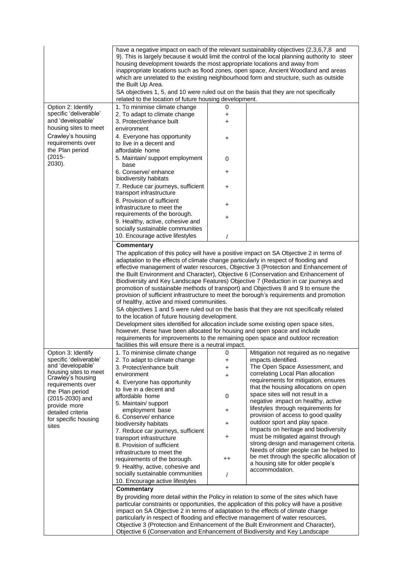|                                                                                            | housing development towards the most appropriate locations and away from<br>the Built Up Area.                                                                   |                     | have a negative impact on each of the relevant sustainability objectives (2,3,6,7,8 and<br>9). This is largely because it would limit the control of the local planning authority to steer<br>inappropriate locations such as flood zones, open space, Ancient Woodland and areas<br>which are unrelated to the existing neighbourhood form and structure, such as outside                                                                          |
|--------------------------------------------------------------------------------------------|------------------------------------------------------------------------------------------------------------------------------------------------------------------|---------------------|-----------------------------------------------------------------------------------------------------------------------------------------------------------------------------------------------------------------------------------------------------------------------------------------------------------------------------------------------------------------------------------------------------------------------------------------------------|
|                                                                                            | SA objectives 1, 5, and 10 were ruled out on the basis that they are not specifically<br>related to the location of future housing development.                  |                     |                                                                                                                                                                                                                                                                                                                                                                                                                                                     |
| Option 2: Identify<br>specific 'deliverable'<br>and 'developable'<br>housing sites to meet | 1. To minimise climate change<br>2. To adapt to climate change<br>3. Protect/enhance built<br>environment                                                        | 0<br>+<br>$\ddot{}$ |                                                                                                                                                                                                                                                                                                                                                                                                                                                     |
| Crawley's housing<br>requirements over<br>the Plan period                                  | 4. Everyone has opportunity<br>to live in a decent and<br>affordable home                                                                                        | +                   |                                                                                                                                                                                                                                                                                                                                                                                                                                                     |
| $(2015 -$<br>2030).                                                                        | 5. Maintain/ support employment<br>base                                                                                                                          | 0                   |                                                                                                                                                                                                                                                                                                                                                                                                                                                     |
|                                                                                            | 6. Conserve/ enhance<br>biodiversity habitats                                                                                                                    | +                   |                                                                                                                                                                                                                                                                                                                                                                                                                                                     |
|                                                                                            | 7. Reduce car journeys, sufficient<br>transport infrastructure                                                                                                   | +                   |                                                                                                                                                                                                                                                                                                                                                                                                                                                     |
|                                                                                            | 8. Provision of sufficient<br>infrastructure to meet the                                                                                                         | +                   |                                                                                                                                                                                                                                                                                                                                                                                                                                                     |
|                                                                                            | requirements of the borough.<br>9. Healthy, active, cohesive and                                                                                                 | +                   |                                                                                                                                                                                                                                                                                                                                                                                                                                                     |
|                                                                                            | socially sustainable communities<br>10. Encourage active lifestyles                                                                                              |                     |                                                                                                                                                                                                                                                                                                                                                                                                                                                     |
|                                                                                            | Commentary                                                                                                                                                       |                     |                                                                                                                                                                                                                                                                                                                                                                                                                                                     |
|                                                                                            | adaptation to the effects of climate change particularly in respect of flooding and                                                                              |                     | The application of this policy will have a positive impact on SA Objective 2 in terms of<br>effective management of water resources, Objective 3 (Protection and Enhancement of<br>the Built Environment and Character), Objective 6 (Conservation and Enhancement of<br>Biodiversity and Key Landscape Features) Objective 7 (Reduction in car journeys and<br>promotion of sustainable methods of transport) and Objectives 8 and 9 to ensure the |
|                                                                                            | of healthy, active and mixed communities.                                                                                                                        |                     | provision of sufficient infrastructure to meet the borough's requirements and promotion                                                                                                                                                                                                                                                                                                                                                             |
|                                                                                            | to the location of future housing development.                                                                                                                   |                     | SA objectives 1 and 5 were ruled out on the basis that they are not specifically related                                                                                                                                                                                                                                                                                                                                                            |
|                                                                                            | Development sites identified for allocation include some existing open space sites,<br>however, these have been allocated for housing and open space and include |                     |                                                                                                                                                                                                                                                                                                                                                                                                                                                     |
|                                                                                            | facilities this will ensure there is a neutral impact.                                                                                                           |                     | requirements for improvements to the remaining open space and outdoor recreation                                                                                                                                                                                                                                                                                                                                                                    |
| Option 3: Identify                                                                         | 1. To minimise climate change                                                                                                                                    | 0                   | Mitigation not required as no negative                                                                                                                                                                                                                                                                                                                                                                                                              |
| specific 'deliverable'                                                                     | 2. To adapt to climate change                                                                                                                                    | +                   | impacts identified.                                                                                                                                                                                                                                                                                                                                                                                                                                 |
| and 'developable'                                                                          | 3. Protect/enhance built                                                                                                                                         | +                   | The Open Space Assessment, and                                                                                                                                                                                                                                                                                                                                                                                                                      |
| housing sites to meet<br>Crawley's housing                                                 | environment                                                                                                                                                      | +                   | correlating Local Plan allocation                                                                                                                                                                                                                                                                                                                                                                                                                   |
| requirements over                                                                          | 4. Everyone has opportunity                                                                                                                                      |                     | requirements for mitigation, ensures                                                                                                                                                                                                                                                                                                                                                                                                                |
| the Plan period                                                                            | to live in a decent and                                                                                                                                          |                     | that the housing allocations on open<br>space sites will not result in a                                                                                                                                                                                                                                                                                                                                                                            |
| $(2015 - 2030)$ and                                                                        | affordable home                                                                                                                                                  | 0                   | negative impact on healthy, active                                                                                                                                                                                                                                                                                                                                                                                                                  |
| provide more                                                                               | 5. Maintain/ support                                                                                                                                             |                     | lifestyles through requirements for                                                                                                                                                                                                                                                                                                                                                                                                                 |
| detailed criteria                                                                          | employment base<br>6. Conserve/ enhance                                                                                                                          | +                   | provision of access to good quality                                                                                                                                                                                                                                                                                                                                                                                                                 |
| for specific housing                                                                       | biodiversity habitats                                                                                                                                            | +                   | outdoor sport and play space.                                                                                                                                                                                                                                                                                                                                                                                                                       |
| sites                                                                                      | 7. Reduce car journeys, sufficient                                                                                                                               |                     | Impacts on heritage and biodiversity                                                                                                                                                                                                                                                                                                                                                                                                                |
|                                                                                            | transport infrastructure                                                                                                                                         | +                   | must be mitigated against through                                                                                                                                                                                                                                                                                                                                                                                                                   |
|                                                                                            | 8. Provision of sufficient                                                                                                                                       |                     | strong design and management criteria.                                                                                                                                                                                                                                                                                                                                                                                                              |
|                                                                                            | infrastructure to meet the                                                                                                                                       |                     | Needs of older people can be helped to                                                                                                                                                                                                                                                                                                                                                                                                              |
|                                                                                            | requirements of the borough.                                                                                                                                     | $^{\mathrm{+}}$     | be met through the specific allocation of<br>a housing site for older people's                                                                                                                                                                                                                                                                                                                                                                      |
|                                                                                            | 9. Healthy, active, cohesive and                                                                                                                                 |                     | accommodation.                                                                                                                                                                                                                                                                                                                                                                                                                                      |
|                                                                                            | socially sustainable communities                                                                                                                                 | $\prime$            |                                                                                                                                                                                                                                                                                                                                                                                                                                                     |
|                                                                                            | 10. Encourage active lifestyles                                                                                                                                  |                     |                                                                                                                                                                                                                                                                                                                                                                                                                                                     |
|                                                                                            | <b>Commentary</b>                                                                                                                                                |                     |                                                                                                                                                                                                                                                                                                                                                                                                                                                     |
|                                                                                            |                                                                                                                                                                  |                     | By providing more detail within the Policy in relation to some of the sites which have                                                                                                                                                                                                                                                                                                                                                              |
|                                                                                            | impact on SA Objective 2 in terms of adaptation to the effects of climate change                                                                                 |                     | particular constraints or opportunities, the application of this policy will have a positive                                                                                                                                                                                                                                                                                                                                                        |
|                                                                                            | particularly in respect of flooding and effective management of water resources,                                                                                 |                     |                                                                                                                                                                                                                                                                                                                                                                                                                                                     |
|                                                                                            | Objective 3 (Protection and Enhancement of the Built Environment and Character),                                                                                 |                     |                                                                                                                                                                                                                                                                                                                                                                                                                                                     |
|                                                                                            | Objective 6 (Conservation and Enhancement of Biodiversity and Key Landscape                                                                                      |                     |                                                                                                                                                                                                                                                                                                                                                                                                                                                     |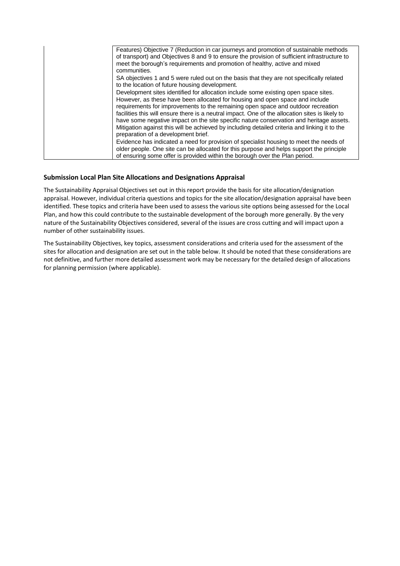| Features) Objective 7 (Reduction in car journeys and promotion of sustainable methods<br>of transport) and Objectives 8 and 9 to ensure the provision of sufficient infrastructure to<br>meet the borough's requirements and promotion of healthy, active and mixed<br>communities.                                                                                                                                                                                                                                                                                                           |
|-----------------------------------------------------------------------------------------------------------------------------------------------------------------------------------------------------------------------------------------------------------------------------------------------------------------------------------------------------------------------------------------------------------------------------------------------------------------------------------------------------------------------------------------------------------------------------------------------|
| SA objectives 1 and 5 were ruled out on the basis that they are not specifically related<br>to the location of future housing development.                                                                                                                                                                                                                                                                                                                                                                                                                                                    |
| Development sites identified for allocation include some existing open space sites.<br>However, as these have been allocated for housing and open space and include<br>requirements for improvements to the remaining open space and outdoor recreation<br>facilities this will ensure there is a neutral impact. One of the allocation sites is likely to<br>have some negative impact on the site specific nature conservation and heritage assets.<br>Mitigation against this will be achieved by including detailed criteria and linking it to the<br>preparation of a development brief. |
| Evidence has indicated a need for provision of specialist housing to meet the needs of<br>older people. One site can be allocated for this purpose and helps support the principle<br>of ensuring some offer is provided within the borough over the Plan period.                                                                                                                                                                                                                                                                                                                             |

#### **Submission Local Plan Site Allocations and Designations Appraisal**

The Sustainability Appraisal Objectives set out in this report provide the basis for site allocation/designation appraisal. However, individual criteria questions and topics for the site allocation/designation appraisal have been identified. These topics and criteria have been used to assess the various site options being assessed for the Local Plan, and how this could contribute to the sustainable development of the borough more generally. By the very nature of the Sustainability Objectives considered, several of the issues are cross cutting and will impact upon a number of other sustainability issues.

The Sustainability Objectives, key topics, assessment considerations and criteria used for the assessment of the sites for allocation and designation are set out in the table below. It should be noted that these considerations are not definitive, and further more detailed assessment work may be necessary for the detailed design of allocations for planning permission (where applicable).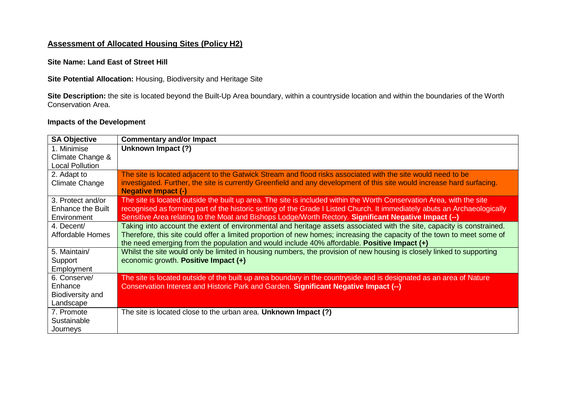## **Assessment of Allocated Housing Sites (Policy H2)**

**Site Name: Land East of Street Hill**

**Site Potential Allocation:** Housing, Biodiversity and Heritage Site

**Site Description:** the site is located beyond the Built-Up Area boundary, within a countryside location and within the boundaries of the Worth Conservation Area.

### **Impacts of the Development**

| <b>SA Objective</b>      | <b>Commentary and/or Impact</b>                                                                                                                       |
|--------------------------|-------------------------------------------------------------------------------------------------------------------------------------------------------|
| 1. Minimise              | Unknown Impact (?)                                                                                                                                    |
| Climate Change &         |                                                                                                                                                       |
| <b>Local Pollution</b>   |                                                                                                                                                       |
| 2. Adapt to              | The site is located adjacent to the Gatwick Stream and flood risks associated with the site would need to be                                          |
| <b>Climate Change</b>    | investigated. Further, the site is currently Greenfield and any development of this site would increase hard surfacing.<br><b>Negative Impact (-)</b> |
| 3. Protect and/or        | The site is located outside the built up area. The site is included within the Worth Conservation Area, with the site                                 |
| <b>Enhance the Built</b> | recognised as forming part of the historic setting of the Grade I Listed Church. It immediately abuts an Archaeologically                             |
| Environment              | Sensitive Area relating to the Moat and Bishops Lodge/Worth Rectory. Significant Negative Impact (--)                                                 |
| 4. Decent/               | Taking into account the extent of environmental and heritage assets associated with the site, capacity is constrained.                                |
| Affordable Homes         | Therefore, this site could offer a limited proportion of new homes; increasing the capacity of the town to meet some of                               |
|                          | the need emerging from the population and would include 40% affordable. Positive Impact (+)                                                           |
| 5. Maintain/             | Whilst the site would only be limited in housing numbers, the provision of new housing is closely linked to supporting                                |
| Support                  | economic growth. Positive Impact (+)                                                                                                                  |
| Employment               |                                                                                                                                                       |
| 6. Conserve/             | The site is located outside of the built up area boundary in the countryside and is designated as an area of Nature                                   |
| Enhance                  | Conservation Interest and Historic Park and Garden. Significant Negative Impact (--)                                                                  |
| Biodiversity and         |                                                                                                                                                       |
| Landscape                |                                                                                                                                                       |
| 7. Promote               | The site is located close to the urban area. Unknown Impact (?)                                                                                       |
| Sustainable              |                                                                                                                                                       |
| Journeys                 |                                                                                                                                                       |